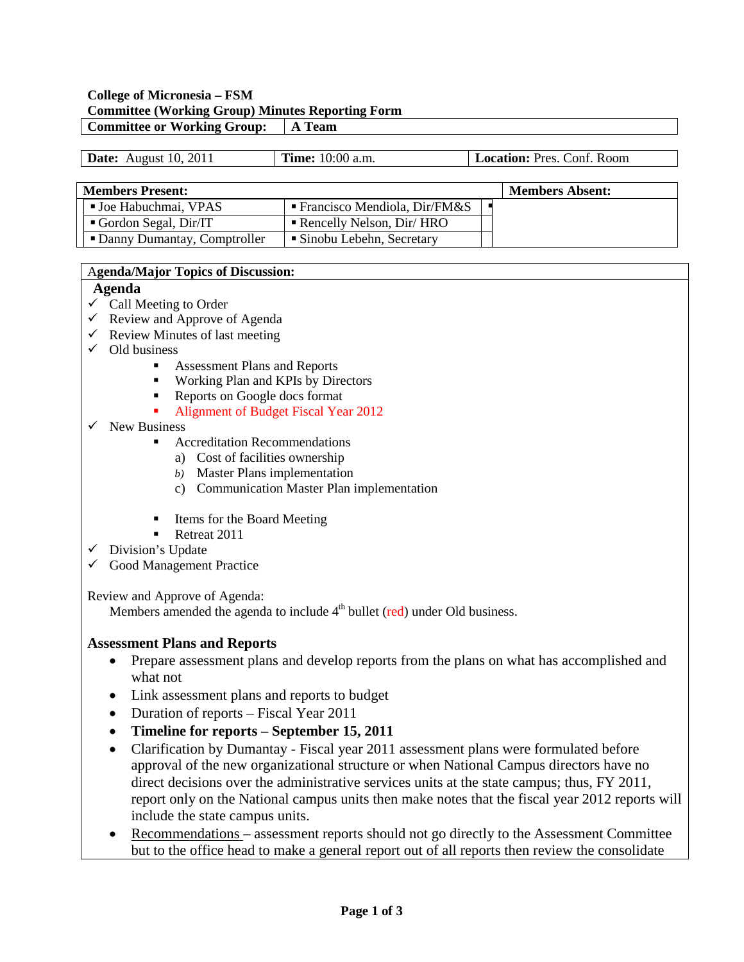## **College of Micronesia – FSM Committee (Working Group) Minutes Reporting Form Committee or Working Group: A Team**

| <b>Date:</b> August 10, 2011 | <b>Time:</b> 10:00 a.m. | <b>Location:</b> Pres. Conf. Room |
|------------------------------|-------------------------|-----------------------------------|
|------------------------------|-------------------------|-----------------------------------|

| <b>Members Present:</b>       | <b>Members Absent:</b>                  |  |  |
|-------------------------------|-----------------------------------------|--|--|
| ■ Joe Habuchmai, VPAS         | <b>Francisco Mendiola, Dir/FM&amp;S</b> |  |  |
| Gordon Segal, Dir/IT          | Rencelly Nelson, Dir/ HRO               |  |  |
| • Danny Dumantay, Comptroller | • Sinobu Lebehn, Secretary              |  |  |

#### A**genda/Major Topics of Discussion:**

## **Agenda**

- $\checkmark$  Call Meeting to Order
- $\checkmark$  Review and Approve of Agenda
- $\checkmark$  Review Minutes of last meeting
- $\checkmark$  Old business
	- **Assessment Plans and Reports**
	- **Working Plan and KPIs by Directors**
	- Reports on Google docs format
	- Alignment of Budget Fiscal Year 2012
- $\checkmark$  New Business
	- Accreditation Recommendations
		- a) Cost of facilities ownership
		- *b)* Master Plans implementation
		- c) Communication Master Plan implementation
	- Items for the Board Meeting
	- Retreat 2011
- $\checkmark$  Division's Update
- $\checkmark$  Good Management Practice

Review and Approve of Agenda:

Members amended the agenda to include  $4<sup>th</sup>$  bullet (red) under Old business.

# **Assessment Plans and Reports**

- Prepare assessment plans and develop reports from the plans on what has accomplished and what not
- Link assessment plans and reports to budget
- Duration of reports Fiscal Year 2011
- **Timeline for reports – September 15, 2011**
- Clarification by Dumantay Fiscal year 2011 assessment plans were formulated before approval of the new organizational structure or when National Campus directors have no direct decisions over the administrative services units at the state campus; thus, FY 2011, report only on the National campus units then make notes that the fiscal year 2012 reports will include the state campus units.
- Recommendations assessment reports should not go directly to the Assessment Committee but to the office head to make a general report out of all reports then review the consolidate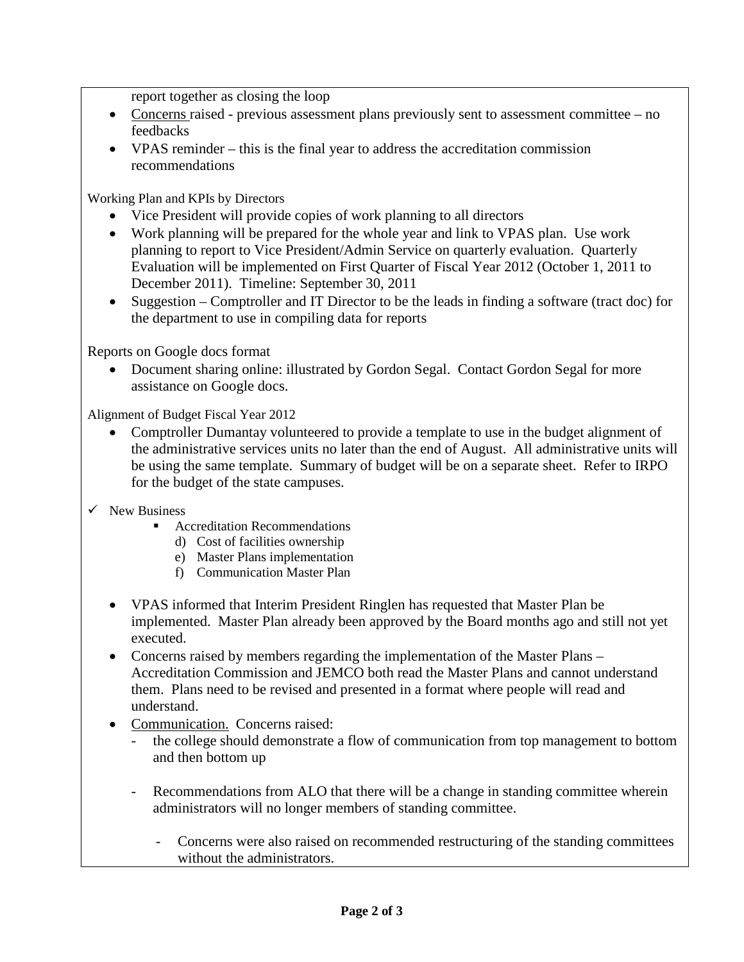report together as closing the loop

- Concerns raised previous assessment plans previously sent to assessment committee no feedbacks
- VPAS reminder this is the final year to address the accreditation commission recommendations

Working Plan and KPIs by Directors

- Vice President will provide copies of work planning to all directors
- Work planning will be prepared for the whole year and link to VPAS plan. Use work planning to report to Vice President/Admin Service on quarterly evaluation. Quarterly Evaluation will be implemented on First Quarter of Fiscal Year 2012 (October 1, 2011 to December 2011). Timeline: September 30, 2011
- Suggestion Comptroller and IT Director to be the leads in finding a software (tract doc) for the department to use in compiling data for reports

Reports on Google docs format

• Document sharing online: illustrated by Gordon Segal. Contact Gordon Segal for more assistance on Google docs.

Alignment of Budget Fiscal Year 2012

- Comptroller Dumantay volunteered to provide a template to use in the budget alignment of the administrative services units no later than the end of August. All administrative units will be using the same template. Summary of budget will be on a separate sheet. Refer to IRPO for the budget of the state campuses.
- $\checkmark$  New Business
	- Accreditation Recommendations
		- d) Cost of facilities ownership
		- e) Master Plans implementation
		- f) Communication Master Plan
	- VPAS informed that Interim President Ringlen has requested that Master Plan be implemented. Master Plan already been approved by the Board months ago and still not yet executed.
	- Concerns raised by members regarding the implementation of the Master Plans Accreditation Commission and JEMCO both read the Master Plans and cannot understand them. Plans need to be revised and presented in a format where people will read and understand.
	- Communication. Concerns raised:
		- the college should demonstrate a flow of communication from top management to bottom and then bottom up
		- Recommendations from ALO that there will be a change in standing committee wherein administrators will no longer members of standing committee.
			- Concerns were also raised on recommended restructuring of the standing committees without the administrators.